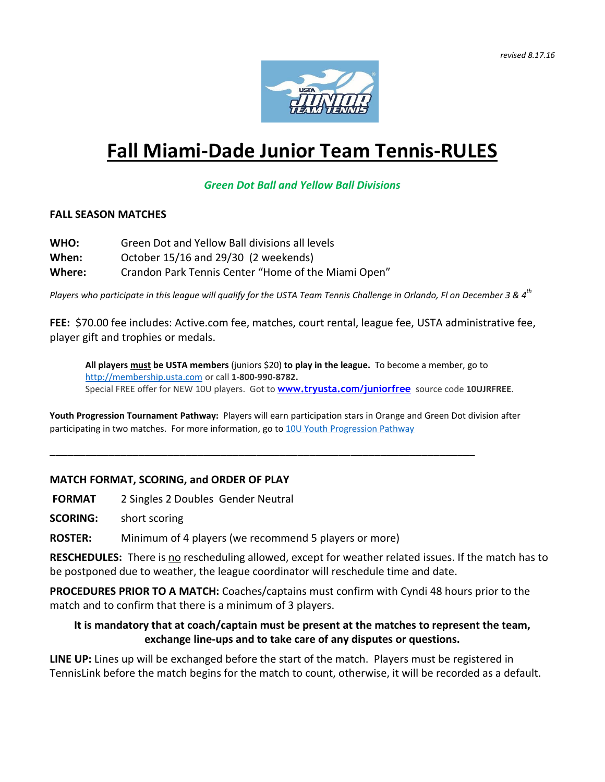

# **Fall Miami-Dade Junior Team Tennis-RULES**

## *Green Dot Ball and Yellow Ball Divisions*

#### **FALL SEASON MATCHES**

- **WHO:** Green Dot and Yellow Ball divisions all levels
- **When:** October 15/16 and 29/30 (2 weekends)
- **Where:** Crandon Park Tennis Center "Home of the Miami Open"

Players who participate in this league will qualify for the USTA Team Tennis Challenge in Orlando, Fl on December 3 & 4 $^{\rm th}$ 

**FEE:** \$70.00 fee includes: Active.com fee, matches, court rental, league fee, USTA administrative fee, player gift and trophies or medals.

**All players must be USTA members** (juniors \$20) **to play in the league.** To become a member, go to [http://membership.usta.com](http://membership.usta.com/) or call **1-800-990-8782.** Special FREE offer for NEW 10U players. Got to **[www.tryusta.com/juniorfree](http://www.tryusta.com/juniorfree)** source code **10UJRFREE**.

**Youth Progression Tournament Pathway:** Players will earn participation stars in Orange and Green Dot division after participating in two matches. For more information, go to 10U Youth [Progression](https://www.ustaflorida.com/youthtennis/junior-tournaments/10u-youth-progression-pathway/) Pathway

**\_\_\_\_\_\_\_\_\_\_\_\_\_\_\_\_\_\_\_\_\_\_\_\_\_\_\_\_\_\_\_\_\_\_\_\_\_\_\_\_\_\_\_\_\_\_\_\_\_\_\_\_\_\_\_\_\_\_\_\_\_\_\_\_\_\_\_\_\_\_\_\_**

### **MATCH FORMAT, SCORING, and ORDER OF PLAY**

**FORMAT** 2 Singles 2 Doubles Gender Neutral

**SCORING:** short scoring

**ROSTER:** Minimum of 4 players (we recommend 5 players or more)

**RESCHEDULES:** There is no rescheduling allowed, except for weather related issues. If the match has to be postponed due to weather, the league coordinator will reschedule time and date.

**PROCEDURES PRIOR TO A MATCH:** Coaches/captains must confirm with Cyndi 48 hours prior to the match and to confirm that there is a minimum of 3 players.

## **It is mandatory that at coach/captain must be present at the matches to represent the team, exchange line-ups and to take care of any disputes or questions.**

**LINE UP:** Lines up will be exchanged before the start of the match. Players must be registered in TennisLink before the match begins for the match to count, otherwise, it will be recorded as a default.